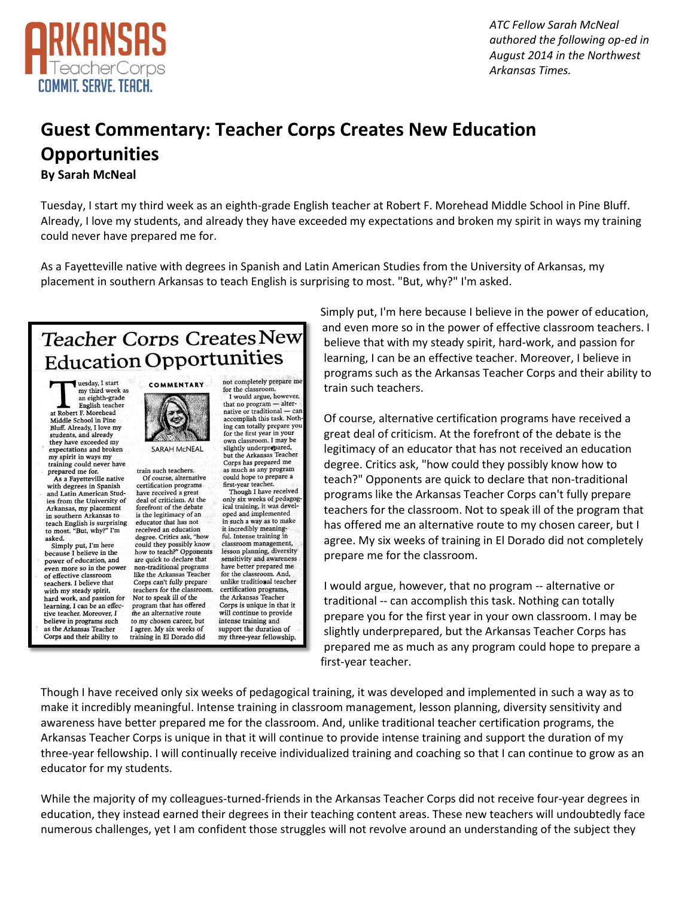

*ATC Fellow Sarah McNeal authored the following op-ed in August 2014 in the Northwest Arkansas Times.*

## **Guest Commentary: Teacher Corps Creates New Education Opportunities**

## **By Sarah McNeal**

Tuesday, I start my third week as an eighth-grade English teacher at Robert F. Morehead Middle School in Pine Bluff. Already, I love my students, and already they have exceeded my expectations and broken my spirit in ways my training could never have prepared me for.

As a Fayetteville native with degrees in Spanish and Latin American Studies from the University of Arkansas, my placement in southern Arkansas to teach English is surprising to most. "But, why?" I'm asked.

## **Teacher Corps Creates New Education Opportunities**

uesday, I start my third week as<br>an eighth-grade English teacher at Robert F. Morehead Middle School in Pine Bluff. Already, I love my students, and already they have exceeded my expectations and broken my spirit in ways my<br>training could never have prepared me for.

As a Fayetteville native with degrees in Spanish<br>and Latin American Studies from the University of Arkansas, my placement in southern Arkansas to teach English is surprising to most. "But, why?" I'm asked

Simply put, I'm here<br>because I believe in the power of education, and even more so in the power of effective classroom teachers. I believe that with my steady spirit, hard work, and passion for learning, I can be an effec-<br>tive teacher. Moreover, I believe in programs such as the Arkansas Teacher Corps and their ability to



SARAH MCNEAL train such teachers.

Of course, alternative certification programs have received a great deal of criticism. At the forefront of the debate is the legitimacy of an educator that has not received an education degree. Critics ask, "how could they possibly know how to teach?" Opponents are quick to declare that non-traditional programs like the Arkansas Teacher Corps can't fully prepare<br>teachers for the classroom. Not to speak ill of the program that has offered me an alternative route to my chosen career, but I agree. My six weeks of training in El Dorado did



only six weeks of pedagog ical training, it was developed and implemented in such a way as to make it incredibly meaning ful. Intense training in classroom manage lesson planning, diversity sensitivity and awareness have better prepared me for the classroom. And, unlike traditional teacher certification programs, the Arkansas Teacher Corps is unique in that it will continue to provide intense training and support the duration of my three-year fellowship.

Simply put, I'm here because I believe in the power of education, and even more so in the power of effective classroom teachers. I believe that with my steady spirit, hard-work, and passion for learning, I can be an effective teacher. Moreover, I believe in programs such as the Arkansas Teacher Corps and their ability to train such teachers.

Of course, alternative certification programs have received a great deal of criticism. At the forefront of the debate is the legitimacy of an educator that has not received an education degree. Critics ask, "how could they possibly know how to teach?" Opponents are quick to declare that non-traditional programs like the Arkansas Teacher Corps can't fully prepare teachers for the classroom. Not to speak ill of the program that has offered me an alternative route to my chosen career, but I agree. My six weeks of training in El Dorado did not completely prepare me for the classroom.

I would argue, however, that no program -- alternative or traditional -- can accomplish this task. Nothing can totally prepare you for the first year in your own classroom. I may be slightly underprepared, but the Arkansas Teacher Corps has prepared me as much as any program could hope to prepare a first-year teacher.

Though I have received only six weeks of pedagogical training, it was developed and implemented in such a way as to make it incredibly meaningful. Intense training in classroom management, lesson planning, diversity sensitivity and awareness have better prepared me for the classroom. And, unlike traditional teacher certification programs, the Arkansas Teacher Corps is unique in that it will continue to provide intense training and support the duration of my three-year fellowship. I will continually receive individualized training and coaching so that I can continue to grow as an educator for my students.

While the majority of my colleagues-turned-friends in the Arkansas Teacher Corps did not receive four-year degrees in education, they instead earned their degrees in their teaching content areas. These new teachers will undoubtedly face numerous challenges, yet I am confident those struggles will not revolve around an understanding of the subject they